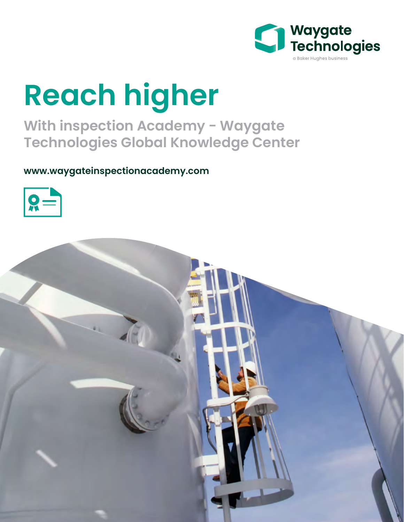

# **Reach higher**

**With inspection Academy - Waygate Technologies Global Knowledge Center** 

**www.waygateinspectionacademy.com**



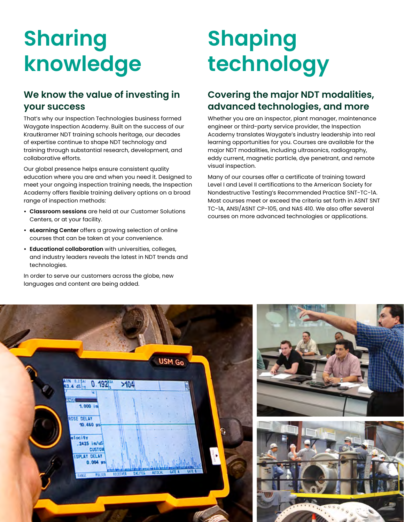## **Sharing knowledge**

#### **We know the value of investing in your success**

That's why our Inspection Technologies business formed Waygate Inspection Academy. Built on the success of our Krautkramer NDT training schools heritage, our decades of expertise continue to shape NDT technology and training through substantial research, development, and collaborative efforts.

Our global presence helps ensure consistent quality education where you are and when you need it. Designed to meet your ongoing inspection training needs, the Inspection Academy offers flexible training delivery options on a broad range of inspection methods:

- **• Classroom sessions** are held at our Customer Solutions Centers, or at your facility.
- **• eLearning Center** offers a growing selection of online courses that can be taken at your convenience.
- **• Educational collaboration** with universities, colleges, and industry leaders reveals the latest in NDT trends and technologies.

In order to serve our customers across the globe, new languages and content are being added.

## **Shaping technology**

#### **Covering the major NDT modalities, advanced technologies, and more**

Whether you are an inspector, plant manager, maintenance engineer or third-party service provider, the Inspection Academy translates Waygate's industry leadership into real learning opportunities for you. Courses are available for the major NDT modalities, including ultrasonics, radiography, eddy current, magnetic particle, dye penetrant, and remote visual inspection.

Many of our courses offer a certificate of training toward Level I and Level II certifications to the American Society for Nondestructive Testing's Recommended Practice SNT-TC-1A. Most courses meet or exceed the criteria set forth in ASNT SNT TC-1A, ANSI/ASNT CP-105, and NAS 410. We also offer several courses on more advanced technologies or applications.





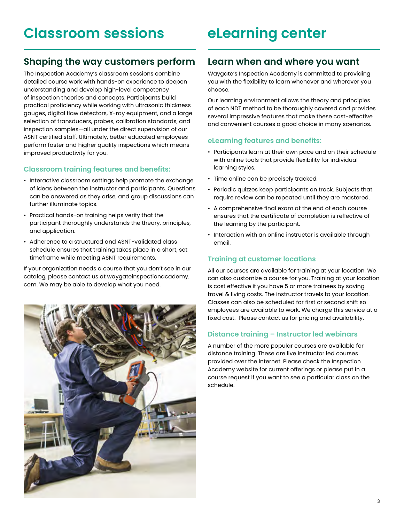### **eLearning center**

#### **Shaping the way customers perform**

The Inspection Academy's classroom sessions combine detailed course work with hands-on experience to deepen understanding and develop high-level competency of inspection theories and concepts. Participants build practical proficiency while working with ultrasonic thickness gauges, digital flaw detectors, X-ray equipment, and a large selection of transducers, probes, calibration standards, and inspection samples—all under the direct supervision of our ASNT certified staff. Ultimately, better educated employees perform faster and higher quality inspections which means improved productivity for you.

#### **Classroom training features and benefits:**

- Interactive classroom settings help promote the exchange of ideas between the instructor and participants. Questions can be answered as they arise, and group discussions can further illuminate topics.
- Practical hands-on training helps verify that the participant thoroughly understands the theory, principles, and application.
- Adherence to a structured and ASNT-validated class schedule ensures that training takes place in a short, set timeframe while meeting ASNT requirements.

If your organization needs a course that you don't see in our catalog, please contact us at waygateinspectionacademy. com. We may be able to develop what you need.



#### **Learn when and where you want**

Waygate's Inspection Academy is committed to providing you with the flexibility to learn whenever and wherever you choose.

Our learning environment allows the theory and principles of each NDT method to be thoroughly covered and provides several impressive features that make these cost-effective and convenient courses a good choice in many scenarios.

#### **eLearning features and benefits:**

- Participants learn at their own pace and on their schedule with online tools that provide flexibility for individual learning styles.
- Time online can be precisely tracked.
- Periodic quizzes keep participants on track. Subjects that require review can be repeated until they are mastered.
- A comprehensive final exam at the end of each course ensures that the certificate of completion is reflective of the learning by the participant.
- Interaction with an online instructor is available through email.

#### **Training at customer locations**

All our courses are available for training at your location. We can also customize a course for you. Training at your location is cost effective if you have 5 or more trainees by saving travel & living costs. The instructor travels to your location. Classes can also be scheduled for first or second shift so employees are available to work. We charge this service at a fixed cost. Please contact us for pricing and availability.

#### **Distance training – Instructor led webinars**

A number of the more popular courses are available for distance training. These are live instructor led courses provided over the internet. Please check the Inspection Academy website for current offerings or please put in a course request if you want to see a particular class on the schedule.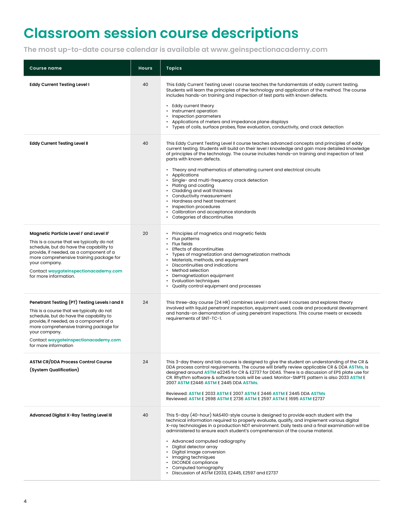### **Classroom session course descriptions**

**The most up-to-date course calendar is available at www.geinspectionacademy.com**

| <b>Course name</b>                                                                                                                                                                                                                                                                                            | <b>Hours</b> | <b>Topics</b>                                                                                                                                                                                                                                                                                                                                                                                                                                                                                                                                                                                                                                                                                               |
|---------------------------------------------------------------------------------------------------------------------------------------------------------------------------------------------------------------------------------------------------------------------------------------------------------------|--------------|-------------------------------------------------------------------------------------------------------------------------------------------------------------------------------------------------------------------------------------------------------------------------------------------------------------------------------------------------------------------------------------------------------------------------------------------------------------------------------------------------------------------------------------------------------------------------------------------------------------------------------------------------------------------------------------------------------------|
| <b>Eddy Current Testing Level I</b>                                                                                                                                                                                                                                                                           | 40           | This Eddy Current Testing Level I course teaches the fundamentals of eddy current testing.<br>Students will learn the principles of the technology and application of the method. The course<br>includes hands-on training and inspection of test parts with known defects.<br>• Eddy current theory<br>• Instrument operation<br>• Inspection parameters<br>• Applications of meters and impedance plane displays<br>• Types of coils, surface probes, flaw evaluation, conductivity, and crack detection                                                                                                                                                                                                  |
| <b>Eddy Current Testing Level II</b>                                                                                                                                                                                                                                                                          | 40           | This Eddy Current Testing Level II course teaches advanced concepts and principles of eddy<br>current testing. Students will build on their level I knowledge and gain more detailed knowledge<br>of principles of the technology. The course includes hands-on training and inspection of test<br>parts with known defects.<br>• Theory and mathematics of alternating current and electrical circuits<br>• Applications<br>· Single- and multi-frequency crack detection<br>• Plating and coating<br>• Cladding and wall thickness<br>• Conductivity measurement<br>• Hardness and heat treatment<br>• Inspection procedures<br>• Calibration and acceptance standards<br>• Categories of discontinuities |
| Magnetic Particle Level I' and Level II'<br>This is a course that we typically do not<br>schedule, but do have the capability to<br>provide, if needed, as a component of a<br>more comprehensive training package for<br>your company.<br>Contact waygateinspectionacademy.com<br>for more information.      | 20           | • Principles of magnetics and magnetic fields<br>• Flux patterns<br>• Flux fields<br>• Effects of discontinuities<br>• Types of magnetization and demagnetization methods<br>• Materials, methods, and equipment<br>• Discontinuities and indications<br>• Method selection<br>• Demagnetization equipment<br>• Evaluation techniques<br>• Quality control equipment and processes                                                                                                                                                                                                                                                                                                                          |
| Penetrant Testing (PT) Testing Levels I and II<br>This is a course that we typically do not<br>schedule, but do have the capability to<br>provide, if needed, as a component of a<br>more comprehensive training package for<br>your company.<br>Contact waygateinspectionacademy.com<br>for more information | 24           | This three-day course (24 HR) combines Level I and Level II courses and explores theory<br>involved with liquid penetrant inspection, equipment used, code and procedural development<br>and hands-on demonstration of using penetrant inspections. This course meets or exceeds<br>requirements of SNT-TC-1.                                                                                                                                                                                                                                                                                                                                                                                               |
| <b>ASTM CR/DDA Process Control Course</b><br>(System Qualification)                                                                                                                                                                                                                                           | 24           | This 3-day theory and lab course is designed to give the student an understanding of the CR &<br>DDA process control requirements. The course will briefly review applicable CR & DDA ASTMs, is<br>designed around ASTM e2245 for CR & E2737 for DDAS. There is a discussion of EPS plate use for<br>CR. Rhythm software & software tools will be used. Monitor-SMPTE pattern is also 2033 ASTM E<br>2007 ASTM E2446 ASTM E 2445 DDA ASTMS.<br>Reviewed: ASTM E 2033 ASTM E 2007 ASTM E 2446 ASTM E 2445 DDA ASTMs<br>Reviewed: ASTM E 2698 ASTM E 2736 ASTM E 2597 ASTM E 1695 ASTM E 2737                                                                                                                 |
| Advanced Digital X-Ray Testing Level III                                                                                                                                                                                                                                                                      | 40           | This 5-day (40-hour) NAS410-style course is designed to provide each student with the<br>technical information required to properly evaluate, qualify, and implement various digital<br>X-ray technologies in a production NDT environment. Daily tests and a final examination will be<br>administered to ensure each student's comprehension of the course material.<br>• Advanced computed radiography<br>• Digital detector array<br>• Digital image conversion<br>• Imaging techniques<br>• DICONDE compliance<br>• Computed tomography<br>Discussion of ASTM E2033, E2445, E2597 and E2737                                                                                                            |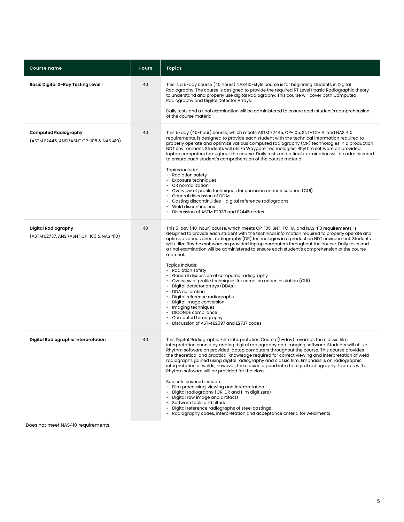| <b>Course name</b>                                                      | <b>Hours</b> | <b>Topics</b>                                                                                                                                                                                                                                                                                                                                                                                                                                                                                                                                                                                                                                                                                                                                                                                                                                                                                                                                                                         |
|-------------------------------------------------------------------------|--------------|---------------------------------------------------------------------------------------------------------------------------------------------------------------------------------------------------------------------------------------------------------------------------------------------------------------------------------------------------------------------------------------------------------------------------------------------------------------------------------------------------------------------------------------------------------------------------------------------------------------------------------------------------------------------------------------------------------------------------------------------------------------------------------------------------------------------------------------------------------------------------------------------------------------------------------------------------------------------------------------|
| Basic Digital X-Ray Testing Level I                                     | 40           | This is a 5-day course (40 hours) NAS410-style course is for beginning students in Digital<br>Radiography. The course is designed to provide the required RT Level I basic Radiographic theory<br>to understand and properly use digital Radiography. This course will cover both Computed<br>Radiography and Digital Detector Arrays.<br>Daily tests and a final examination will be administered to ensure each student's comprehension<br>of the course material.                                                                                                                                                                                                                                                                                                                                                                                                                                                                                                                  |
| <b>Computed Radiography</b><br>(ASTM E2445, ANSI/ASNT CP-105 & NAS 410) | 40           | This 5-day (40-hour) course, which meets ASTM E2445, CP-105, SNT-TC-1A, and NAS 410<br>requirements, is designed to provide each student with the technical information required to<br>properly operate and optimize various computed radiography (CR) technologies in a production<br>NDT environment. Students will utilize Waygate Technologies' Rhythm software on provided<br>laptop computers throughout the course. Daily tests and a final examination will be administered<br>to ensure each student's comprehension of the course material.<br>Topics include:<br>• Radiation safety<br>• Exposure techniques<br>• CR normalization<br>• Overview of profile techniques for corrosion under insulation (CUI)<br>• General discussion of DDAs<br>• Casting discontinuities - digital reference radiographs<br>• Weld discontinuities<br>Discussion of ASTM E2033 and E2445 codes                                                                                             |
| <b>Digital Radiography</b><br>(ASTM E2737, ANSI/ASNT CP-105 & NAS 410)  | 40           | This 5-day (40-hour) course, which meets CP-105, SNT-TC-1A, and NAS 410 requirements, is<br>designed to provide each student with the technical information required to properly operate and<br>optimize various direct radiography (DR) technologies in a production NDT environment. Students<br>will utilize Rhythm software on provided laptop computers throughout the course. Daily tests and<br>a final examination will be administered to ensure each student's comprehension of the course<br>material.<br>Topics Include:<br>• Radiation safety<br>• General discussion of computed radiography<br>• Overview of profile techniques for corrosion under insulation (CUI)<br>• Digital detector arrays (DDAs)<br>• DDA calibration<br>· Digital reference radiographs<br>• Digital image conversion<br>• Imaging techniques<br>• DICONDE compliance<br>• Computed tomography<br>Discussion of ASTM E2597 and E2737 codes                                                    |
| Digital Radiographic Interpretation                                     | 40           | This Digital Radiographic Film Interpretation Course (5-day) revamps the classic film<br>interpretation course by adding digital radiography and imaging software. Students will utilize<br>Rhythm software on provided laptop computers throughout the course. This course provides<br>the theoretical and practical knowledge required for correct viewing and interpretation of weld<br>radiographs gained using digital radiography and classic film. Emphasis is on radiographic<br>interpretation of welds; however, the class is a good intro to digital radiography. Laptops with<br>Rhythm software will be provided for the class.<br>Subjects covered include:<br>• Film processing, viewing and interpretation<br>• Digital radiography (CR, DR and film digitizers)<br>• Digital raw image and artifacts<br>• Software tools and filters<br>• Digital reference radiographs of steel castings<br>Radiography codes, interpretation and acceptance criteria for weldments |

1 Does not meet NAS410 requirements.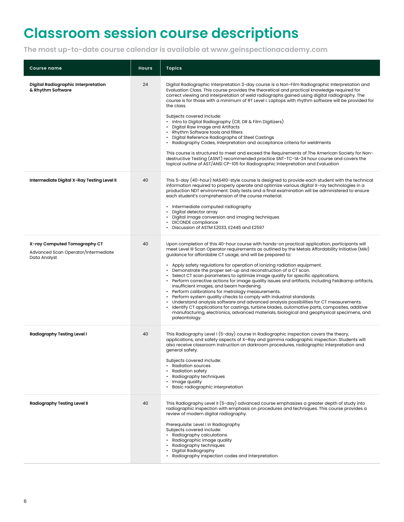### **Classroom session course descriptions**

**The most up-to-date course calendar is available at www.geinspectionacademy.com**

| <b>Course name</b>                                                                  | <b>Hours</b> | <b>Topics</b>                                                                                                                                                                                                                                                                                                                                                                                                                                                                                                                                                                                                                                                                                                                                                                                                                                                                                                                                                                                                                                                                                      |
|-------------------------------------------------------------------------------------|--------------|----------------------------------------------------------------------------------------------------------------------------------------------------------------------------------------------------------------------------------------------------------------------------------------------------------------------------------------------------------------------------------------------------------------------------------------------------------------------------------------------------------------------------------------------------------------------------------------------------------------------------------------------------------------------------------------------------------------------------------------------------------------------------------------------------------------------------------------------------------------------------------------------------------------------------------------------------------------------------------------------------------------------------------------------------------------------------------------------------|
| Digital Radiographic Interpretation<br>& Rhythm Software                            | 24           | Digital Radiographic Interpretation 3-day course is a Non-Film Radiographic Interpretation and<br>Evaluation Class. This course provides the theoretical and practical knowledge required for<br>correct viewing and interpretation of weld radiographs gained using digital radiography. The<br>course is for those with a minimum of RT Level I. Laptops with rhythm software will be provided for<br>the class.<br>Subjects covered include:<br>• Intro to Digital Radiography (CR, DR & Film Digitizers)<br>• Digital Raw Image and Artifacts<br>• Rhythm Software tools and filters<br>• Digital Reference Radiographs of Steel Castings<br>• Radiography Codes, Interpretation and acceptance criteria for weldments<br>This course is structured to meet and exceed the Requirements of The American Society for Non-<br>destructive Testing (ASNT) recommended practice SNT-TC-1A-24 hour course and covers the<br>topical outline of AST/ANSI CP-105 for Radiographic Interpretation and Evaluation                                                                                       |
| Intermediate Digital X-Ray Testing Level II                                         | 40           | This 5-day (40-hour) NAS410-style course is designed to provide each student with the technical<br>information required to properly operate and optimize various digital X-ray technologies in a<br>production NDT environment. Daily tests and a final examination will be administered to ensure<br>each student's comprehension of the course material.<br>• Intermediate computed radiography<br>• Digital detector array<br>• Digital image conversion and imaging techniques<br>• DICONDE compliance<br>• Discussion of ASTM E2033, E2445 and E2597                                                                                                                                                                                                                                                                                                                                                                                                                                                                                                                                          |
| X-ray Computed Tomography CT<br>Advanced Scan Operator/Intermediate<br>Data Analyst | 40           | Upon completion of this 40-hour course with hands-on practical application, participants will<br>meet Level III Scan Operator requirements as outlined by the Metals Affordability Initiative (MAI)<br>guidance for affordable CT usage, and will be prepared to:<br>• Apply safety regulations for operation of ionizing radiation equipment.<br>• Demonstrate the proper set-up and reconstruction of a CT scan.<br>• Select CT scan parameters to optimize image quality for specific applications.<br>• Perform corrective actions for image quality issues and artifacts, including Feldkamp artifacts,<br>insufficient images, and beam hardening.<br>• Perform calibrations for metrology measurements.<br>• Perform system quality checks to comply with industrial standards.<br>• Understand analysis software and advanced analysis possibilities for CT measurements.<br>• Identify CT applications for castings, turbine blades, automotive parts, composites, additive<br>manufacturing, electronics, advanced materials, biological and geophysical specimens, and<br>paleontology. |
| Radiography Testing Level I                                                         | 40           | This Radiography Level I (5-day) course in Radiographic inspection covers the theory,<br>applications, and safety aspects of X-Ray and gamma radiographic inspection. Students will<br>also receive classroom instruction on darkroom procedures, radiographic interpretation and<br>general safety.<br>Subjects covered include:<br>• Radiation sources<br>• Radiation safety<br>• Radiography techniques<br>• Image quality<br>· Basic radiographic interpretation                                                                                                                                                                                                                                                                                                                                                                                                                                                                                                                                                                                                                               |
| <b>Radiography Testing Level II</b>                                                 | 40           | This Radiography Level II (5-day) advanced course emphasizes a greater depth of study into<br>radiographic inspection with emphasis on procedures and techniques. This course provides a<br>review of modern digital radiography.<br>Prerequisite: Level I in Radiography<br>Subjects covered include:<br>• Radiography calculations<br>· Radiographic image quality<br>• Radiography techniques<br>Digital Radiography<br>• Radiography inspection codes and interpretation                                                                                                                                                                                                                                                                                                                                                                                                                                                                                                                                                                                                                       |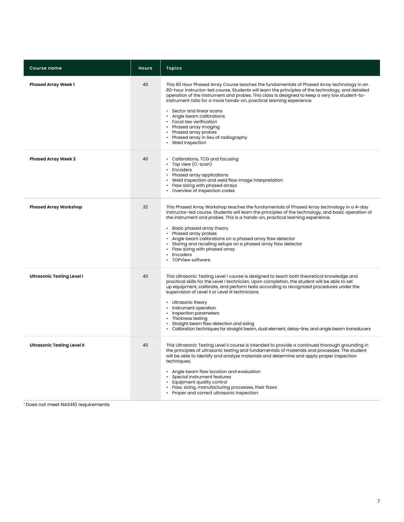| <b>Course name</b>                 | <b>Hours</b> | <b>Topics</b>                                                                                                                                                                                                                                                                                                                                                                                                                                                                                                                                                                                        |
|------------------------------------|--------------|------------------------------------------------------------------------------------------------------------------------------------------------------------------------------------------------------------------------------------------------------------------------------------------------------------------------------------------------------------------------------------------------------------------------------------------------------------------------------------------------------------------------------------------------------------------------------------------------------|
| <b>Phased Array Week 1</b>         | 40           | This 80 Hour Phased Array Course teaches the fundamentals of Phased Array technology in an<br>80-hour instructor-led course. Students will learn the principles of the technology, and detailed<br>operation of the instrument and probes. This class is designed to keep a very low student-to-<br>instrument ratio for a more hands-on, practical learning experience.<br>• Sector and linear scans<br>• Angle beam calibrations<br>• Focal law verification<br>• Phased array imaging<br>• Phased array probes<br>• Phased array in lieu of radiography<br>Weld inspection<br>$\bullet$           |
| <b>Phased Array Week 2</b>         | 40           | • Calibrations, TCG and focusing<br>• Top view (C-scan)<br>• Encoders<br>• Phased array applications<br>• Weld inspection and weld flaw image interpretation<br>• Flaw sizing with phased arrays<br>Overview of inspection codes                                                                                                                                                                                                                                                                                                                                                                     |
| <b>Phased Array Workshop</b>       | 32           | This Phased Array Workshop teaches the fundamentals of Phased Array technology in a 4-day<br>instructor-led course. Students will learn the principles of the technology, and basic operation of<br>the instrument and probes. This is a hands-on, practical learning experience.<br>• Basic phased array theory<br>• Phased array probes<br>• Angle beam calibrations on a phased array flaw detector<br>• Storing and recalling setups on a phased array flaw detector<br>• Flaw sizing with phased array<br>Encoders<br><b>TOPView software</b>                                                   |
| <b>Ultrasonic Testing Level I</b>  | 40           | This Ultrasonic Testing Level I course is designed to teach both theoretical knowledge and<br>practical skills for the Level I technician. Upon completion, the student will be able to set<br>up equipment, calibrate, and perform tests according to recognized procedures under the<br>supervision of Level II or Level III technicians.<br>• Ultrasonic theory<br>Instrument operation<br>$\bullet$<br>• Inspection parameters<br>Thickness testing<br>Straight beam flaw detection and sizing<br>Calibration techniques for straight beam, dual element, delay-line, and angle beam transducers |
| <b>Ultrasonic Testing Level II</b> | 40           | This Ultrasonic Testing Level II course is intended to provide a continued thorough grounding in<br>the principles of ultrasonic testing and fundamentals of materials and processes. The student<br>will be able to identify and analyze materials and determine and apply proper inspection<br>techniques.<br>• Angle beam flaw location and evaluation<br>• Special instrument features<br>Equipment quality control<br>Flaw, sizing, manufacturing processes, their flaws<br>Proper and correct ultrasonic inspection                                                                            |

1 Does not meet NAS410 requirements.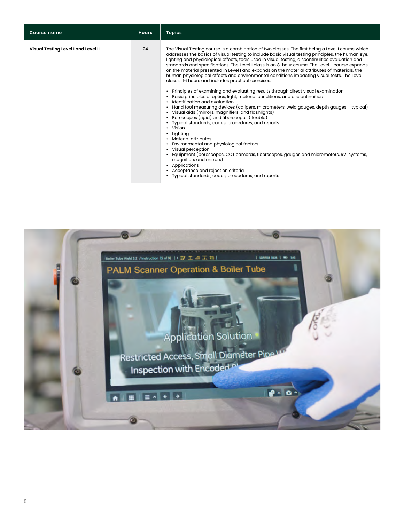| <b>Course name</b>                  | <b>Hours</b> | <b>Topics</b>                                                                                                                                                                                                                                                                                                                                                                                                                                                                                                                                                                                                                                                                                                                                                                                                                                                                                                                                                                                                                                                                                                                                                                                                                                                                                                                                                                                                                                                                      |
|-------------------------------------|--------------|------------------------------------------------------------------------------------------------------------------------------------------------------------------------------------------------------------------------------------------------------------------------------------------------------------------------------------------------------------------------------------------------------------------------------------------------------------------------------------------------------------------------------------------------------------------------------------------------------------------------------------------------------------------------------------------------------------------------------------------------------------------------------------------------------------------------------------------------------------------------------------------------------------------------------------------------------------------------------------------------------------------------------------------------------------------------------------------------------------------------------------------------------------------------------------------------------------------------------------------------------------------------------------------------------------------------------------------------------------------------------------------------------------------------------------------------------------------------------------|
| Visual Testing Level I and Level II | 24           | The Visual Testing course is a combination of two classes. The first being a Level I course which<br>addresses the basics of visual testing to include basic visual testing principles, the human eye,<br>lighting and physiological effects, tools used in visual testing, discontinuities evaluation and<br>standards and specifications. The Level I class is an 8-hour course. The Level II course expands<br>on the material presented in Level I and expands on the material attributes of materials, the<br>human physiological effects and environmental conditions impacting visual tests. The Level II<br>class is 16 hours and includes practical exercises.<br>Principles of examining and evaluating results through direct visual examination<br>Basic principles of optics, light, material conditions, and discontinuities<br>Identification and evaluation<br>Hand tool measuring devices (calipers, micrometers, weld gauges, depth gauges - typical)<br>Visual aids (mirrors, magnifiers, and flashlights)<br>Borescopes (rigid) and fiberscopes (flexible)<br>Typical standards, codes, procedures, and reports<br>• Vision<br>Lighting<br>Material attributes<br>Environmental and physiological factors<br>Visual perception<br>Equipment (borescopes, CCT cameras, fiberscopes, gauges and micrometers, RVI systems,<br>magnifiers and mirrors)<br>Applications<br>Acceptance and rejection criteria<br>• Typical standards, codes, procedures, and reports |
|                                     |              |                                                                                                                                                                                                                                                                                                                                                                                                                                                                                                                                                                                                                                                                                                                                                                                                                                                                                                                                                                                                                                                                                                                                                                                                                                                                                                                                                                                                                                                                                    |

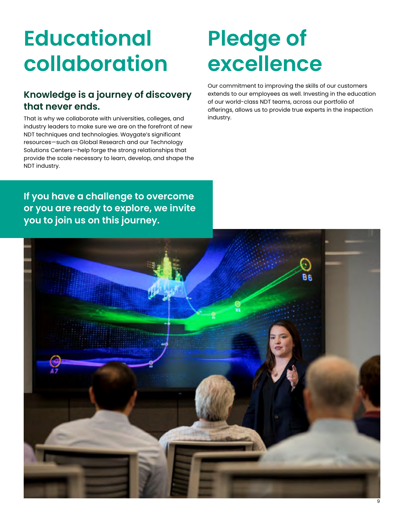## **Educational collaboration**

#### **Knowledge is a journey of discovery that never ends.**

That is why we collaborate with universities, colleges, and industry leaders to make sure we are on the forefront of new NDT techniques and technologies. Waygate's significant resources—such as Global Research and our Technology Solutions Centers—help forge the strong relationships that provide the scale necessary to learn, develop, and shape the NDT industry.

### **Pledge of excellence**

Our commitment to improving the skills of our customers extends to our employees as well. Investing in the education of our world-class NDT teams, across our portfolio of offerings, allows us to provide true experts in the inspection industry.

**If you have a challenge to overcome or you are ready to explore, we invite you to join us on this journey.**